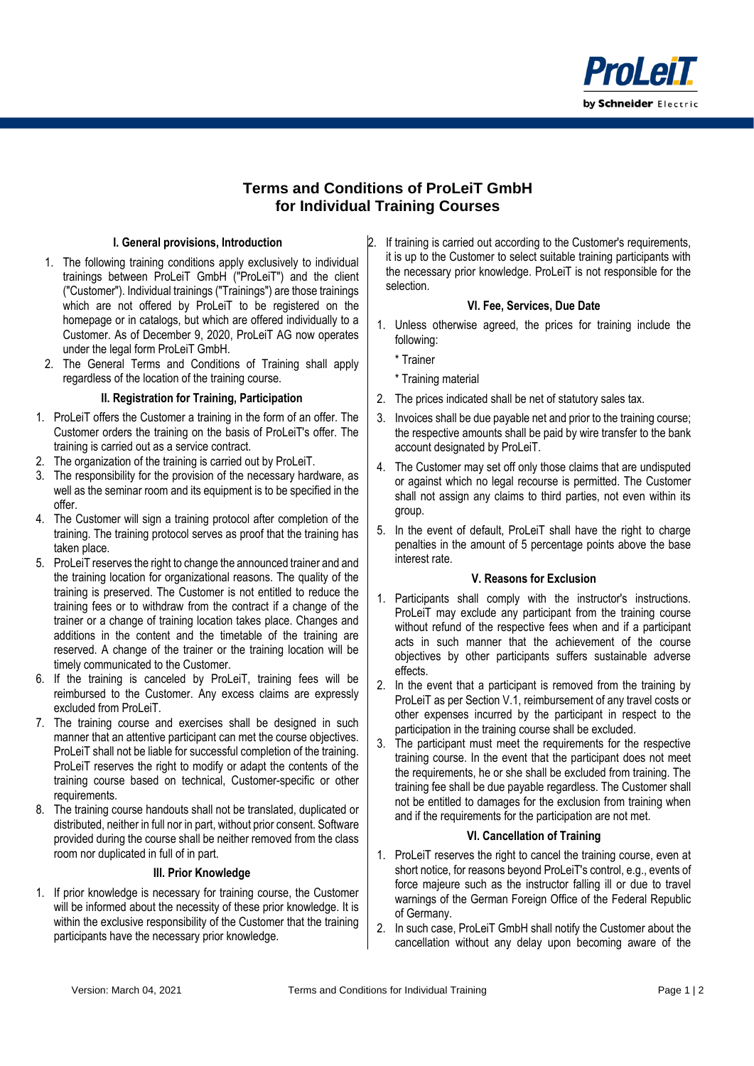

# **Terms and Conditions of ProLeiT GmbH for Individual Training Courses**

## **I. General provisions, Introduction**

- 1. The following training conditions apply exclusively to individual trainings between ProLeiT GmbH ("ProLeiT") and the client ("Customer"). Individual trainings ("Trainings") are those trainings which are not offered by ProLeiT to be registered on the homepage or in catalogs, but which are offered individually to a Customer. As of December 9, 2020, ProLeiT AG now operates under the legal form ProLeiT GmbH.
- 2. The General Terms and Conditions of Training shall apply regardless of the location of the training course.

#### **II. Registration for Training, Participation**

- 1. ProLeiT offers the Customer a training in the form of an offer. The Customer orders the training on the basis of ProLeiT's offer. The training is carried out as a service contract.
- 2. The organization of the training is carried out by ProLeiT.
- 3. The responsibility for the provision of the necessary hardware, as well as the seminar room and its equipment is to be specified in the offer.
- 4. The Customer will sign a training protocol after completion of the training. The training protocol serves as proof that the training has taken place.
- 5. ProLeiT reserves the right to change the announced trainer and and the training location for organizational reasons. The quality of the training is preserved. The Customer is not entitled to reduce the training fees or to withdraw from the contract if a change of the trainer or a change of training location takes place. Changes and additions in the content and the timetable of the training are reserved. A change of the trainer or the training location will be timely communicated to the Customer.
- 6. If the training is canceled by ProLeiT, training fees will be reimbursed to the Customer. Any excess claims are expressly excluded from ProLeiT.
- 7. The training course and exercises shall be designed in such manner that an attentive participant can met the course objectives. ProLeiT shall not be liable for successful completion of the training. ProLeiT reserves the right to modify or adapt the contents of the training course based on technical, Customer-specific or other requirements.
- 8. The training course handouts shall not be translated, duplicated or distributed, neither in full nor in part, without prior consent. Software provided during the course shall be neither removed from the class room nor duplicated in full of in part.

#### **III. Prior Knowledge**

1. If prior knowledge is necessary for training course, the Customer will be informed about the necessity of these prior knowledge. It is within the exclusive responsibility of the Customer that the training participants have the necessary prior knowledge.

If training is carried out according to the Customer's requirements, it is up to the Customer to select suitable training participants with the necessary prior knowledge. ProLeiT is not responsible for the selection.

### **VI. Fee, Services, Due Date**

- 1. Unless otherwise agreed, the prices for training include the following:
	- \* Trainer
	- \* Training material
- 2. The prices indicated shall be net of statutory sales tax.
- 3. Invoices shall be due payable net and prior to the training course; the respective amounts shall be paid by wire transfer to the bank account designated by ProLeiT.
- 4. The Customer may set off only those claims that are undisputed or against which no legal recourse is permitted. The Customer shall not assign any claims to third parties, not even within its group.
- 5. In the event of default, ProLeiT shall have the right to charge penalties in the amount of 5 percentage points above the base interest rate.

### **V. Reasons for Exclusion**

- 1. Participants shall comply with the instructor's instructions. ProLeiT may exclude any participant from the training course without refund of the respective fees when and if a participant acts in such manner that the achievement of the course objectives by other participants suffers sustainable adverse effects.
- 2. In the event that a participant is removed from the training by ProLeiT as per Section V.1, reimbursement of any travel costs or other expenses incurred by the participant in respect to the participation in the training course shall be excluded.
- 3. The participant must meet the requirements for the respective training course. In the event that the participant does not meet the requirements, he or she shall be excluded from training. The training fee shall be due payable regardless. The Customer shall not be entitled to damages for the exclusion from training when and if the requirements for the participation are not met.

### **VI. Cancellation of Training**

- 1. ProLeiT reserves the right to cancel the training course, even at short notice, for reasons beyond ProLeiT's control, e.g., events of force majeure such as the instructor falling ill or due to travel warnings of the German Foreign Office of the Federal Republic of Germany.
- 2. In such case, ProLeiT GmbH shall notify the Customer about the cancellation without any delay upon becoming aware of the